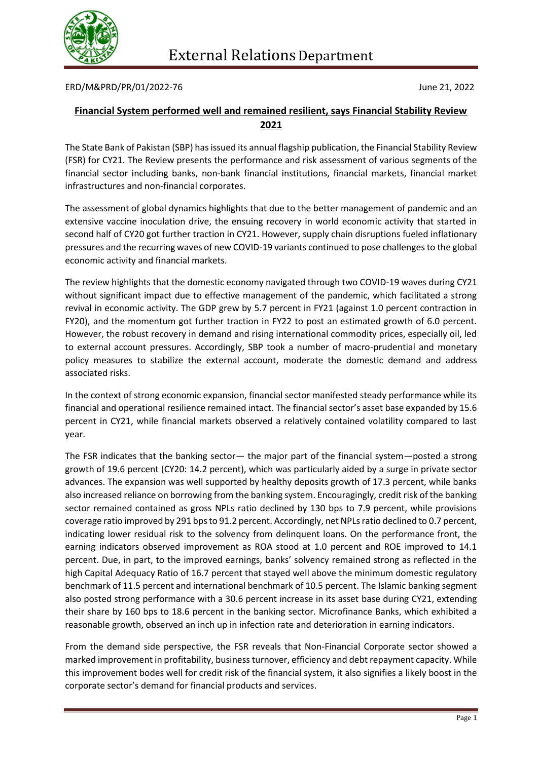

ERD/M&PRD/PR/01/2022-76 June 21, 2022

## **Financial System performed well and remained resilient, says Financial Stability Review 2021**

The State Bank of Pakistan (SBP) has issued its annual flagship publication, the Financial Stability Review (FSR) for CY21. The Review presents the performance and risk assessment of various segments of the financial sector including banks, non-bank financial institutions, financial markets, financial market infrastructures and non-financial corporates.

The assessment of global dynamics highlights that due to the better management of pandemic and an extensive vaccine inoculation drive, the ensuing recovery in world economic activity that started in second half of CY20 got further traction in CY21. However, supply chain disruptions fueled inflationary pressures and the recurring waves of new COVID-19 variants continued to pose challenges to the global economic activity and financial markets.

The review highlights that the domestic economy navigated through two COVID-19 waves during CY21 without significant impact due to effective management of the pandemic, which facilitated a strong revival in economic activity. The GDP grew by 5.7 percent in FY21 (against 1.0 percent contraction in FY20), and the momentum got further traction in FY22 to post an estimated growth of 6.0 percent. However, the robust recovery in demand and rising international commodity prices, especially oil, led to external account pressures. Accordingly, SBP took a number of macro-prudential and monetary policy measures to stabilize the external account, moderate the domestic demand and address associated risks.

In the context of strong economic expansion, financial sector manifested steady performance while its financial and operational resilience remained intact. The financial sector's asset base expanded by 15.6 percent in CY21, while financial markets observed a relatively contained volatility compared to last year.

The FSR indicates that the banking sector— the major part of the financial system—posted a strong growth of 19.6 percent (CY20: 14.2 percent), which was particularly aided by a surge in private sector advances. The expansion was well supported by healthy deposits growth of 17.3 percent, while banks also increased reliance on borrowing from the banking system. Encouragingly, credit risk of the banking sector remained contained as gross NPLs ratio declined by 130 bps to 7.9 percent, while provisions coverage ratio improved by 291 bps to 91.2 percent. Accordingly, net NPLs ratio declined to 0.7 percent, indicating lower residual risk to the solvency from delinquent loans. On the performance front, the earning indicators observed improvement as ROA stood at 1.0 percent and ROE improved to 14.1 percent. Due, in part, to the improved earnings, banks' solvency remained strong as reflected in the high Capital Adequacy Ratio of 16.7 percent that stayed well above the minimum domestic regulatory benchmark of 11.5 percent and international benchmark of 10.5 percent. The Islamic banking segment also posted strong performance with a 30.6 percent increase in its asset base during CY21, extending their share by 160 bps to 18.6 percent in the banking sector. Microfinance Banks, which exhibited a reasonable growth, observed an inch up in infection rate and deterioration in earning indicators.

From the demand side perspective, the FSR reveals that Non-Financial Corporate sector showed a marked improvement in profitability, business turnover, efficiency and debt repayment capacity. While this improvement bodes well for credit risk of the financial system, it also signifies a likely boost in the corporate sector's demand for financial products and services.